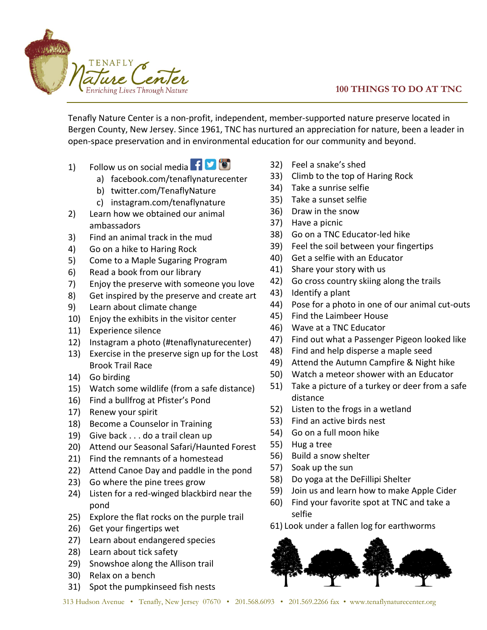

## **100 THINGS TO DO AT TNC**

Tenafly Nature Center is a non-profit, independent, member-supported nature preserve located in Bergen County, New Jersey. Since 1961, TNC has nurtured an appreciation for nature, been a leader in open-space preservation and in environmental education for our community and beyond.

- 1) Follow us on social media  $\mathbf{f}$  of  $\bullet$ 
	- a) facebook.com/tenaflynaturecenter
	- b) twitter.com/TenaflyNature
	- c) instagram.com/tenaflynature
- 2) Learn how we obtained our animal ambassadors
- 3) Find an animal track in the mud
- 4) Go on a hike to Haring Rock
- 5) Come to a Maple Sugaring Program
- 6) Read a book from our library
- 7) Enjoy the preserve with someone you love
- 8) Get inspired by the preserve and create art
- 9) Learn about climate change
- 10) Enjoy the exhibits in the visitor center
- 11) Experience silence
- 12) Instagram a photo (#tenaflynaturecenter)
- 13) Exercise in the preserve sign up for the Lost Brook Trail Race
- 14) Go birding
- 15) Watch some wildlife (from a safe distance)
- 16) Find a bullfrog at Pfister's Pond
- 17) Renew your spirit
- 18) Become a Counselor in Training
- 19) Give back . . . do a trail clean up
- 20) Attend our Seasonal Safari/Haunted Forest
- 21) Find the remnants of a homestead
- 22) Attend Canoe Day and paddle in the pond
- 23) Go where the pine trees grow
- 24) Listen for a red-winged blackbird near the pond
- 25) Explore the flat rocks on the purple trail
- 26) Get your fingertips wet
- 27) Learn about endangered species
- 28) Learn about tick safety
- 29) Snowshoe along the Allison trail
- 30) Relax on a bench
- 31) Spot the pumpkinseed fish nests
- 32) Feel a snake's shed
- 33) Climb to the top of Haring Rock
- 34) Take a sunrise selfie
- 35) Take a sunset selfie
- 36) Draw in the snow
- 37) Have a picnic
- 38) Go on a TNC Educator-led hike
- 39) Feel the soil between your fingertips
- 40) Get a selfie with an Educator
- 41) Share your story with us
- 42) Go cross country skiing along the trails
- 43) Identify a plant
- 44) Pose for a photo in one of our animal cut-outs
- 45) Find the Laimbeer House
- 46) Wave at a TNC Educator
- 47) Find out what a Passenger Pigeon looked like
- 48) Find and help disperse a maple seed
- 49) Attend the Autumn Campfire & Night hike
- 50) Watch a meteor shower with an Educator
- 51) Take a picture of a turkey or deer from a safe distance
- 52) Listen to the frogs in a wetland
- 53) Find an active birds nest
- 54) Go on a full moon hike
- 55) Hug a tree
- 56) Build a snow shelter
- 57) Soak up the sun
- 58) Do yoga at the DeFillipi Shelter
- 59) Join us and learn how to make Apple Cider
- 60) Find your favorite spot at TNC and take a selfie

61) Look under a fallen log for earthworms